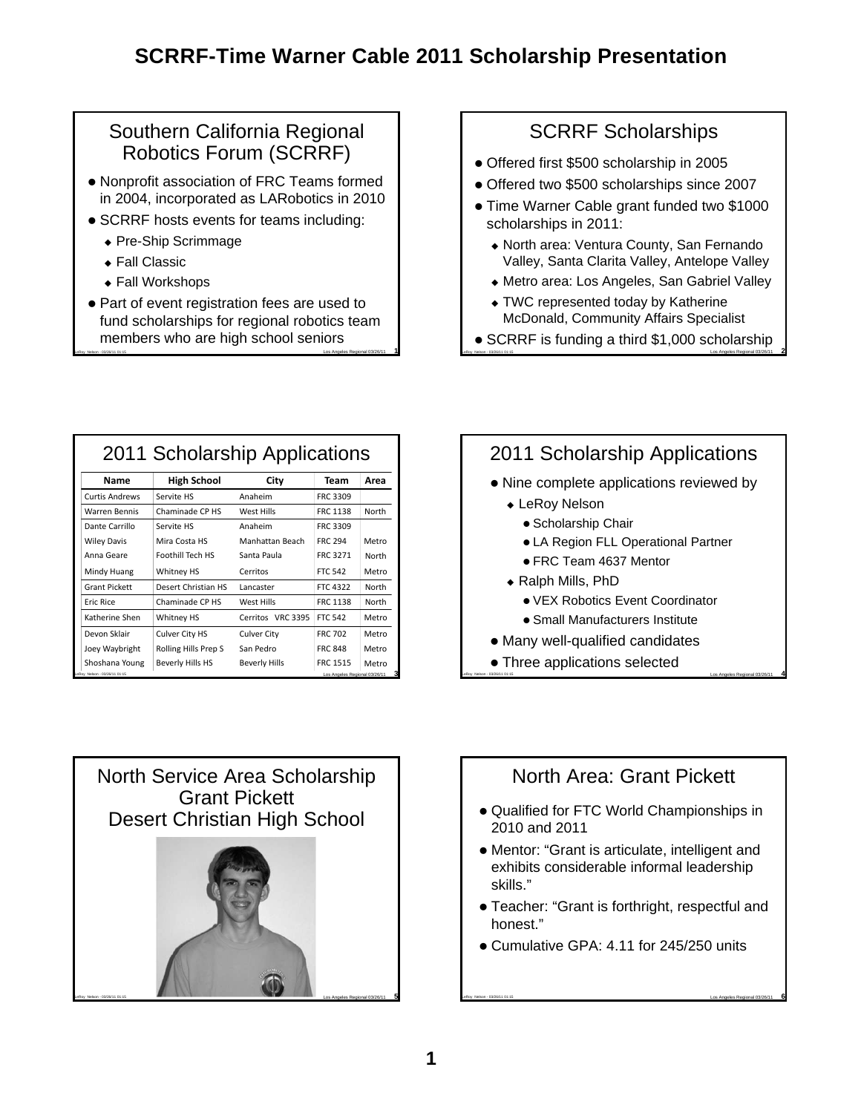#### Southern California Regional Robotics Forum (SCRRF)

- Nonprofit association of FRC Teams formed in 2004, incorporated as LARobotics in 2010
- SCRRF hosts events for teams including:
	- ◆ Pre-Ship Scrimmage
	- ◆ Fall Classic
	- ◆ Fall Workshops
- LeRoy Nelson 03/26/11 01:15 Los Angeles Regional 03/26/11 **1** • Part of event registration fees are used to fund scholarships for regional robotics team members who are high school seniors

### SCRRF Scholarships

- Offered first \$500 scholarship in 2005
- Offered two \$500 scholarships since 2007
- Time Warner Cable grant funded two \$1000 scholarships in 2011:
	- North area: Ventura County, San Fernando Valley, Santa Clarita Valley, Antelope Valley
	- Metro area: Los Angeles, San Gabriel Valley
	- TWC represented today by Katherine McDonald, Community Affairs Specialist
- LeRoy Nelson 03/26/11 01:15 Los Angeles Regional 03/26/11 **2** SCRRF is funding a third \$1,000 scholarship

| 2011 Scholarship Applications                                       |                      |                      |                 |       |
|---------------------------------------------------------------------|----------------------|----------------------|-----------------|-------|
| Name                                                                | <b>High School</b>   | City                 | Team            | Area  |
| <b>Curtis Andrews</b>                                               | Servite HS           | Anaheim              | FRC 3309        |       |
| Warren Bennis                                                       | Chaminade CP HS      | West Hills           | <b>FRC 1138</b> | North |
| Dante Carrillo                                                      | Servite HS           | Anaheim              | FRC 3309        |       |
| <b>Wiley Davis</b>                                                  | Mira Costa HS        | Manhattan Beach      | <b>FRC 294</b>  | Metro |
| Anna Geare                                                          | Foothill Tech HS     | Santa Paula          | FRC 3271        | North |
| Mindy Huang                                                         | Whitney HS           | Cerritos             | <b>FTC 542</b>  | Metro |
| <b>Grant Pickett</b>                                                | Desert Christian HS  | Lancaster            | FTC 4322        | North |
| <b>Fric Rice</b>                                                    | Chaminade CP HS      | West Hills           | <b>FRC 1138</b> | North |
| Katherine Shen                                                      | <b>Whitney HS</b>    | Cerritos VRC 3395    | <b>FTC 542</b>  | Metro |
| Devon Sklair                                                        | Culver City HS       | Culver City          | <b>FRC 702</b>  | Metro |
| Joey Waybright                                                      | Rolling Hills Prep S | San Pedro            | <b>FRC 848</b>  | Metro |
| Shoshana Young                                                      | Beverly Hills HS     | <b>Beverly Hills</b> | <b>FRC 1515</b> | Metro |
| з<br>Los Angeles Regional 03/26/11<br>.eRov Nelson - 03/26/11 01:15 |                      |                      |                 |       |

# 2011 Scholarship Applications

- Nine complete applications reviewed by
	- LeRoy Nelson
		- Scholarship Chair
		- LA Region FLL Operational Partner
		- FRC Team 4637 Mentor
	- Ralph Mills, PhD
		- VEX Robotics Event Coordinator
		- Small Manufacturers Institute
- Many well-qualified candidates
- LeRoy Nelson 03/26/11 01:15 Los Angeles Regional 03/26/11 **4** Three applications selected



## North Area: Grant Pickett

- Qualified for FTC World Championships in 2010 and 2011
- Mentor: "Grant is articulate, intelligent and exhibits considerable informal leadership skills."
- Teacher: "Grant is forthright, respectful and honest."

LeRoy Nelson - 03/26/11 01:15 Los Angeles Regional 03/26/11 **6**

Cumulative GPA: 4.11 for 245/250 units